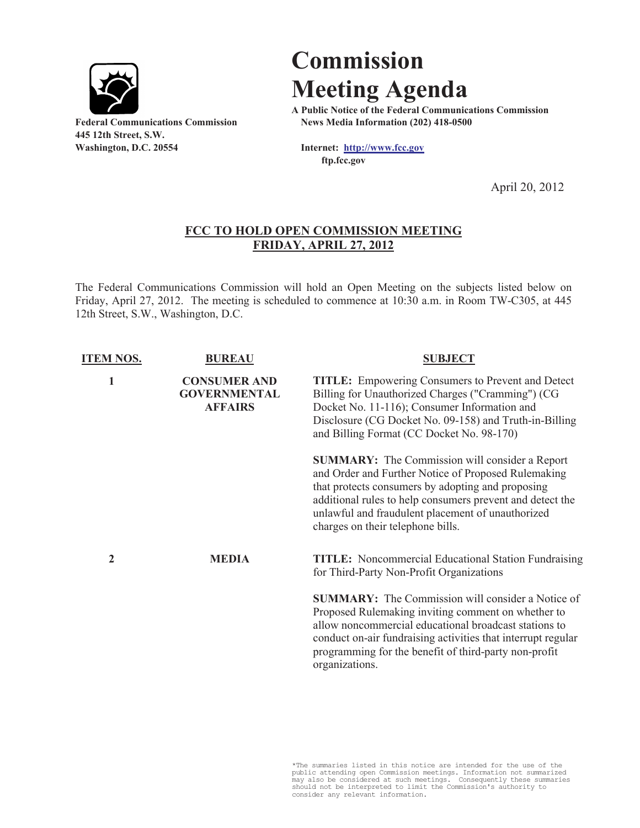

**445 12th Street, S.W. Washington, D.C. 20554 Internet: http://www.fcc.gov**

## **Commission Meeting Agenda**

**A Public Notice of the Federal Communications Commission Federal Communications Commission News Media Information (202) 418-0500**

**ftp.fcc.gov**

April 20, 2012

## **FCC TO HOLD OPEN COMMISSION MEETING FRIDAY, APRIL 27, 2012**

The Federal Communications Commission will hold an Open Meeting on the subjects listed below on Friday, April 27, 2012. The meeting is scheduled to commence at 10:30 a.m. in Room TW-C305, at 445 12th Street, S.W., Washington, D.C.

| <b>ITEM NOS.</b> | <b>BUREAU</b>                                                | <b>SUBJECT</b>                                                                                                                                                                                                                                                                                                           |
|------------------|--------------------------------------------------------------|--------------------------------------------------------------------------------------------------------------------------------------------------------------------------------------------------------------------------------------------------------------------------------------------------------------------------|
| 1                | <b>CONSUMER AND</b><br><b>GOVERNMENTAL</b><br><b>AFFAIRS</b> | <b>TITLE:</b> Empowering Consumers to Prevent and Detect<br>Billing for Unauthorized Charges ("Cramming") (CG<br>Docket No. 11-116); Consumer Information and<br>Disclosure (CG Docket No. 09-158) and Truth-in-Billing<br>and Billing Format (CC Docket No. 98-170)                                                     |
|                  |                                                              | <b>SUMMARY:</b> The Commission will consider a Report<br>and Order and Further Notice of Proposed Rulemaking<br>that protects consumers by adopting and proposing<br>additional rules to help consumers prevent and detect the<br>unlawful and fraudulent placement of unauthorized<br>charges on their telephone bills. |
| 2                | <b>MEDIA</b>                                                 | <b>TITLE:</b> Noncommercial Educational Station Fundraising<br>for Third-Party Non-Profit Organizations                                                                                                                                                                                                                  |
|                  |                                                              | <b>SUMMARY:</b> The Commission will consider a Notice of<br>Proposed Rulemaking inviting comment on whether to<br>allow noncommercial educational broadcast stations to<br>conduct on-air fundraising activities that interrupt regular<br>programming for the benefit of third-party non-profit<br>organizations.       |

\*The summaries listed in this notice are intended for the use of the public attending open Commission meetings. Information not summarized may also be considered at such meetings. Consequently these summaries should not be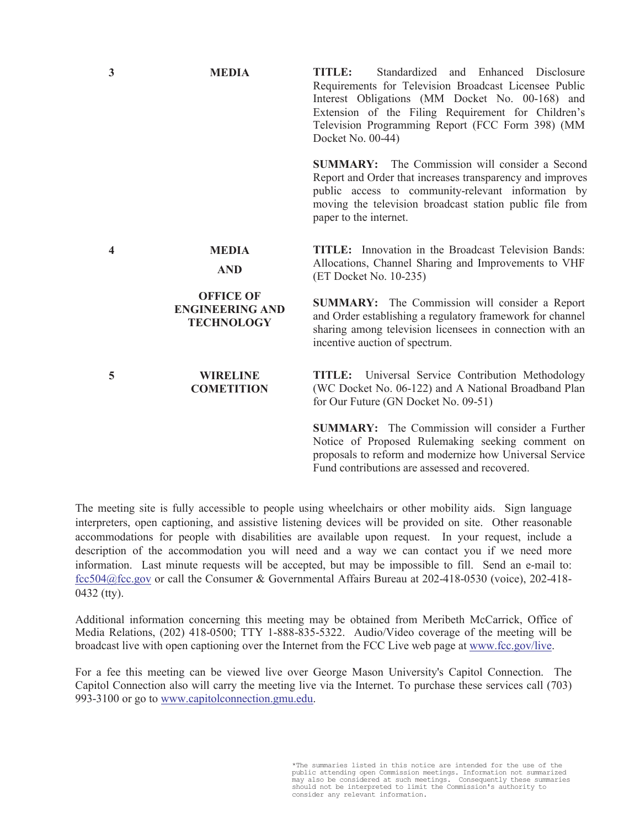| 3 | <b>MEDIA</b>                                                    | TITLE:<br>Standardized and Enhanced Disclosure<br>Requirements for Television Broadcast Licensee Public<br>Interest Obligations (MM Docket No. 00-168) and<br>Extension of the Filing Requirement for Children's<br>Television Programming Report (FCC Form 398) (MM<br>Docket No. 00-44) |
|---|-----------------------------------------------------------------|-------------------------------------------------------------------------------------------------------------------------------------------------------------------------------------------------------------------------------------------------------------------------------------------|
|   |                                                                 | <b>SUMMARY:</b> The Commission will consider a Second<br>Report and Order that increases transparency and improves<br>public access to community-relevant information by<br>moving the television broadcast station public file from<br>paper to the internet.                            |
| 4 | <b>MEDIA</b><br><b>AND</b>                                      | <b>TITLE:</b> Innovation in the Broadcast Television Bands:<br>Allocations, Channel Sharing and Improvements to VHF<br>(ET Docket No. 10-235)                                                                                                                                             |
|   | <b>OFFICE OF</b><br><b>ENGINEERING AND</b><br><b>TECHNOLOGY</b> | <b>SUMMARY:</b> The Commission will consider a Report<br>and Order establishing a regulatory framework for channel<br>sharing among television licensees in connection with an<br>incentive auction of spectrum.                                                                          |
| 5 | <b>WIRELINE</b><br><b>COMETITION</b>                            | <b>TITLE:</b> Universal Service Contribution Methodology<br>(WC Docket No. 06-122) and A National Broadband Plan<br>for Our Future (GN Docket No. 09-51)                                                                                                                                  |
|   |                                                                 | <b>SUMMARY:</b> The Commission will consider a Further<br>Notice of Proposed Rulemaking seeking comment on<br>proposals to reform and modernize how Universal Service<br>Fund contributions are assessed and recovered.                                                                   |

The meeting site is fully accessible to people using wheelchairs or other mobility aids. Sign language interpreters, open captioning, and assistive listening devices will be provided on site. Other reasonable accommodations for people with disabilities are available upon request. In your request, include a description of the accommodation you will need and a way we can contact you if we need more information. Last minute requests will be accepted, but may be impossible to fill. Send an e-mail to: fcc504@fcc.gov or call the Consumer & Governmental Affairs Bureau at 202-418-0530 (voice), 202-418- 0432 (tty).

Additional information concerning this meeting may be obtained from Meribeth McCarrick, Office of Media Relations, (202) 418-0500; TTY 1-888-835-5322. Audio/Video coverage of the meeting will be broadcast live with open captioning over the Internet from the FCC Live web page at www.fcc.gov/live.

For a fee this meeting can be viewed live over George Mason University's Capitol Connection. The Capitol Connection also will carry the meeting live via the Internet. To purchase these services call (703) 993-3100 or go to www.capitolconnection.gmu.edu.